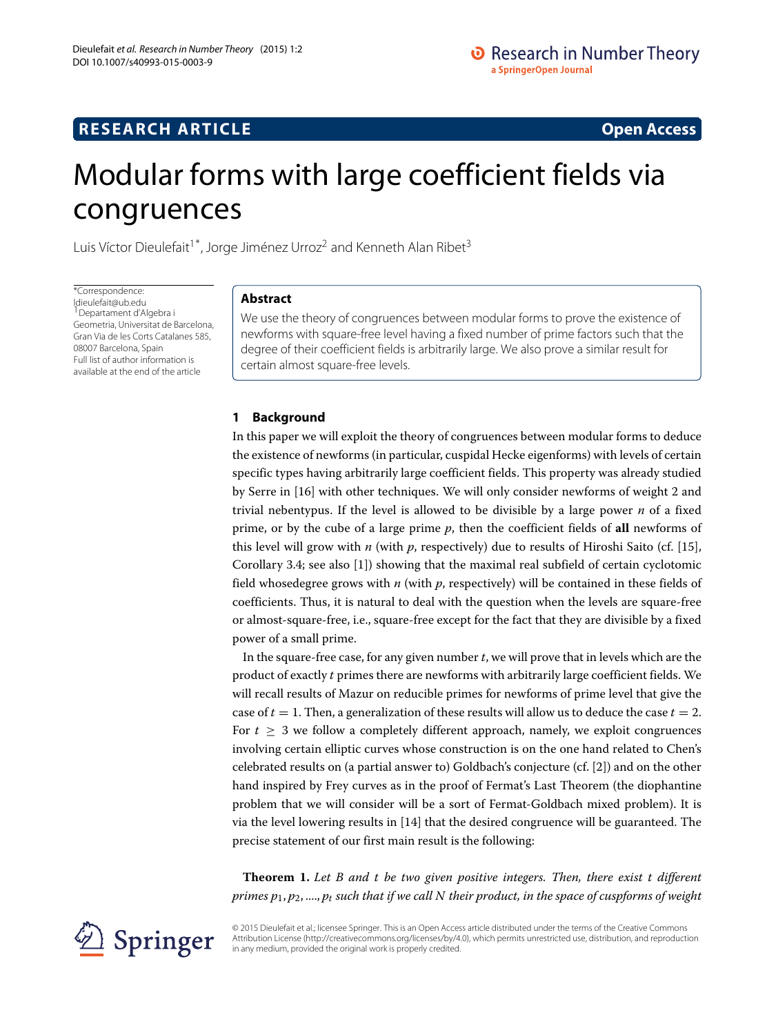# **RESEARCH ARTICLE Open Access**

# Modular forms with large coefficient fields via congruences

Luis Víctor Dieulefait<sup>1\*</sup>, Jorge Jiménez Urroz<sup>2</sup> and Kenneth Alan Ribet<sup>3</sup>

\*Correspondence: [ldieulefait@ub.edu](mailto: ldieulefait@ub.edu) <sup>1</sup> Departament d'Algebra i Geometria, Universitat de Barcelona, Gran Via de les Corts Catalanes 585, 08007 Barcelona, Spain Full list of author information is available at the end of the article

## **Abstract**

We use the theory of congruences between modular forms to prove the existence of newforms with square-free level having a fixed number of prime factors such that the degree of their coefficient fields is arbitrarily large. We also prove a similar result for certain almost square-free levels.

# **1 Background**

In this paper we will exploit the theory of congruences between modular forms to deduce the existence of newforms (in particular, cuspidal Hecke eigenforms) with levels of certain specific types having arbitrarily large coefficient fields. This property was already studied by Serre in [\[16\]](#page-13-0) with other techniques. We will only consider newforms of weight 2 and trivial nebentypus. If the level is allowed to be divisible by a large power *n* of a fixed prime, or by the cube of a large prime *p*, then the coefficient fields of **all** newforms of this level will grow with *n* (with *p*, respectively) due to results of Hiroshi Saito (cf. [\[15\]](#page-13-1), Corollary 3.4; see also [\[1\]](#page-13-2)) showing that the maximal real subfield of certain cyclotomic field whosedegree grows with *n* (with *p*, respectively) will be contained in these fields of coefficients. Thus, it is natural to deal with the question when the levels are square-free or almost-square-free, i.e., square-free except for the fact that they are divisible by a fixed power of a small prime.

In the square-free case, for any given number *t*, we will prove that in levels which are the product of exactly *t* primes there are newforms with arbitrarily large coefficient fields. We will recall results of Mazur on reducible primes for newforms of prime level that give the case of  $t = 1$ . Then, a generalization of these results will allow us to deduce the case  $t = 2$ . For  $t > 3$  we follow a completely different approach, namely, we exploit congruences involving certain elliptic curves whose construction is on the one hand related to Chen's celebrated results on (a partial answer to) Goldbach's conjecture (cf. [\[2\]](#page-13-3)) and on the other hand inspired by Frey curves as in the proof of Fermat's Last Theorem (the diophantine problem that we will consider will be a sort of Fermat-Goldbach mixed problem). It is via the level lowering results in [\[14\]](#page-13-4) that the desired congruence will be guaranteed. The precise statement of our first main result is the following:

<span id="page-0-0"></span>**Theorem 1.** *Let B and t be two given positive integers. Then, there exist t different primes p*1, *p*2, ...., *pt such that if we call N their product, in the space of cuspforms of weight*

© 2015 Dieulefait et al.; licensee Springer. This is an Open Access article distributed under the terms of the Creative Commons Attribution License [\(http://creativecommons.org/licenses/by/4.0\)](http://creativecommons.org/licenses/by/4.0), which permits unrestricted use, distribution, and reproduction in any medium, provided the original work is properly credited.

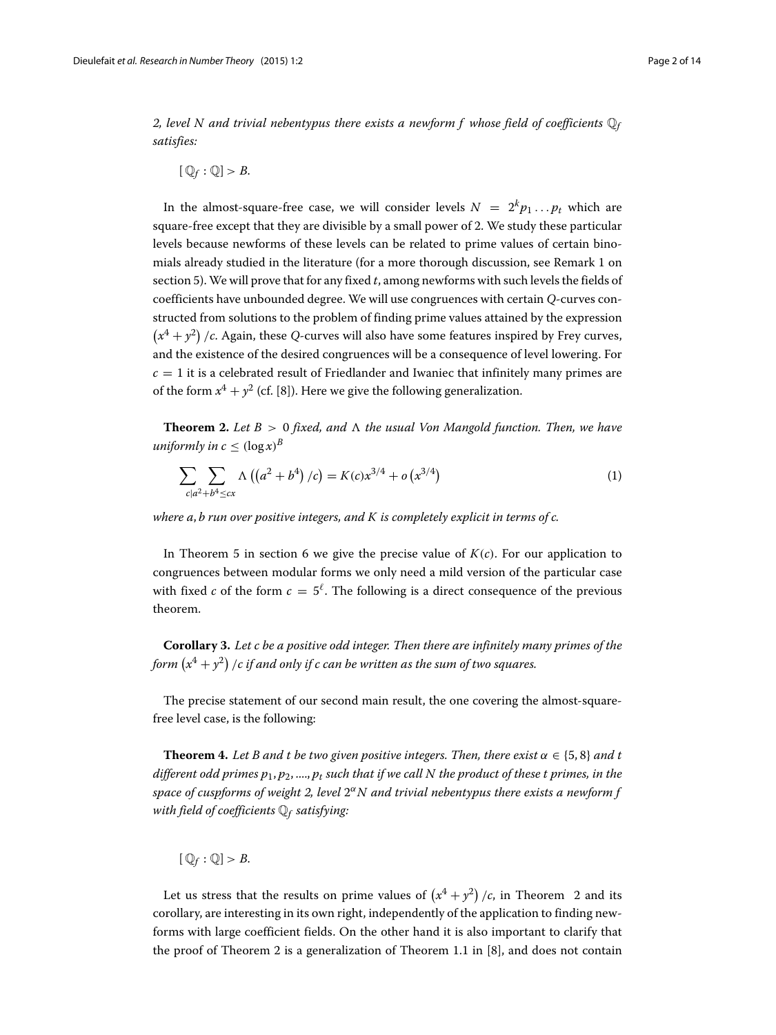2, level N and trivial nebentypus there exists a newform f whose field of coefficients  $\mathbb{Q}_f$ *satisfies:*

 $[$  $\mathbb{Q}_f : \mathbb{Q}$  > *B*.

In the almost-square-free case, we will consider levels  $N = 2^{k}p_1...p_t$  which are square-free except that they are divisible by a small power of 2. We study these particular levels because newforms of these levels can be related to prime values of certain binomials already studied in the literature (for a more thorough discussion, see Remark [1](#page-5-0) on section [5\)](#page-4-0). We will prove that for any fixed *t*, among newforms with such levels the fields of coefficients have unbounded degree. We will use congruences with certain *Q*-curves constructed from solutions to the problem of finding prime values attained by the expression  $(x^4 + y^2)$  /*c*. Again, these *Q*-curves will also have some features inspired by Frey curves, and the existence of the desired congruences will be a consequence of level lowering. For  $c = 1$  it is a celebrated result of Friedlander and Iwaniec that infinitely many primes are of the form  $x^4 + y^2$  (cf. [\[8\]](#page-13-5)). Here we give the following generalization.

<span id="page-1-0"></span>**Theorem 2.** Let  $B > 0$  fixed, and  $\Lambda$  the usual Von Mangold function. Then, we have *uniformly in c*  $\leq$   $(\log x)^B$ 

$$
\sum_{c|a^2+b^4 \le cx} \Lambda\left(\left(a^2+b^4\right)/c\right) = K(c)x^{3/4} + o\left(x^{3/4}\right) \tag{1}
$$

*where a*, *b run over positive integers, and K is completely explicit in terms of c.*

In Theorem [5](#page-5-1) in section [6](#page-5-2) we give the precise value of  $K(c)$ . For our application to congruences between modular forms we only need a mild version of the particular case with fixed *c* of the form  $c = 5^{\ell}$ . The following is a direct consequence of the previous theorem.

**Corollary 3.** *Let c be a positive odd integer. Then there are infinitely many primes of the* form  $(x^4 + y^2)$  /c if and only if c can be written as the sum of two squares.

The precise statement of our second main result, the one covering the almost-squarefree level case, is the following:

<span id="page-1-1"></span>**Theorem 4.** Let B and t be two given positive integers. Then, there exist  $\alpha \in \{5, 8\}$  and t *different odd primes p*1, *p*2, ...., *pt such that if we call N the product of these t primes, in the space of cuspforms of weight 2, level* 2α*N and trivial nebentypus there exists a newform f with field of coefficients* Q*<sup>f</sup> satisfying:*

$$
[Q_f:Q]>B.
$$

Let us stress that the results on prime values of  $(x^4 + y^2)/c$ , in Theorem [2](#page-1-0) and its corollary, are interesting in its own right, independently of the application to finding newforms with large coefficient fields. On the other hand it is also important to clarify that the proof of Theorem [2](#page-1-0) is a generalization of Theorem 1.1 in [\[8\]](#page-13-5), and does not contain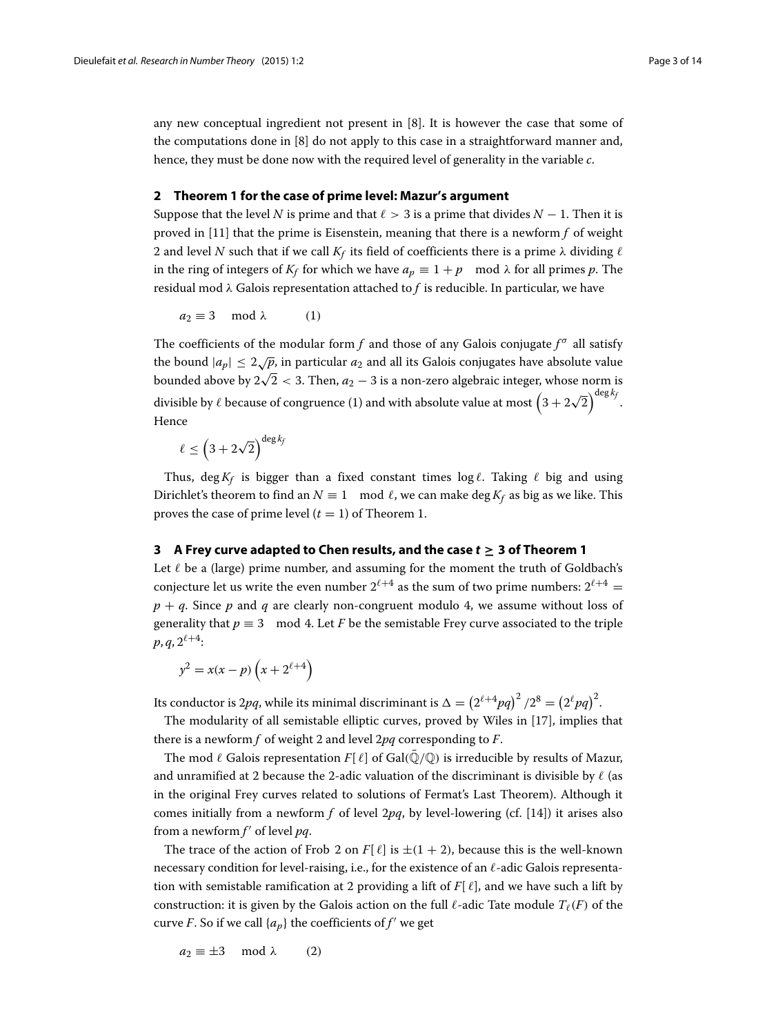any new conceptual ingredient not present in [\[8\]](#page-13-5). It is however the case that some of the computations done in [\[8\]](#page-13-5) do not apply to this case in a straightforward manner and, hence, they must be done now with the required level of generality in the variable *c*.

#### <span id="page-2-0"></span>**2 Theorem [1](#page-0-0) for the case of prime level: Mazur's argument**

Suppose that the level *N* is prime and that  $\ell > 3$  is a prime that divides  $N - 1$ . Then it is proved in [\[11\]](#page-13-6) that the prime is Eisenstein, meaning that there is a newform *f* of weight 2 and level *N* such that if we call  $K_f$  its field of coefficients there is a prime  $\lambda$  dividing  $\ell$ in the ring of integers of  $K_f$  for which we have  $a_p \equiv 1 + p \mod \lambda$  for all primes p. The residual mod λ Galois representation attached to *f* is reducible. In particular, we have

 $a_2 \equiv 3 \mod \lambda$  (1)

The coefficients of the modular form *f* and those of any Galois conjugate  $f^{\sigma}$  all satisfy the bound  $|a_p| \leq 2\sqrt{p}$ , in particular  $a_2$  and all its Galois conjugates have absolute value bounded above by  $2\sqrt{2} < 3$ . Then,  $a_2 - 3$  is a non-zero algebraic integer, whose norm is divisible by  $\ell$  because of congruence (1) and with absolute value at most  $\left(3+2\sqrt{2}\right)^{\deg k_f}.$ Hence

 $\ell \le \left(3+2\sqrt{2}\right)^{\deg k_f}$ 

Thus, deg  $K_f$  is bigger than a fixed constant times  $\log \ell$ . Taking  $\ell$  big and using Dirichlet's theorem to find an  $N \equiv 1 \mod \ell$ , we can make deg  $K_f$  as big as we like. This proves the case of prime level  $(t = 1)$  of Theorem [1.](#page-0-0)

### <span id="page-2-1"></span>**3 A Frey curve adapted to Chen results, and the case** *t* **≥ 3 of Theorem [1](#page-0-0)**

Let  $\ell$  be a (large) prime number, and assuming for the moment the truth of Goldbach's conjecture let us write the even number  $2^{\ell+4}$  as the sum of two prime numbers:  $2^{\ell+4}$  =  $p + q$ . Since p and q are clearly non-congruent modulo 4, we assume without loss of generality that  $p \equiv 3 \mod 4$ . Let *F* be the semistable Frey curve associated to the triple  $p, q, 2^{\ell+4}$ :

$$
y^2 = x(x - p) \left( x + 2^{\ell+4} \right)
$$

Its conductor is 2pq, while its minimal discriminant is  $\Delta = \left(2^{\ell+4}pq\right)^2/2^8 = \left(2^\ell pq\right)^2$ .

The modularity of all semistable elliptic curves, proved by Wiles in [\[17\]](#page-13-7), implies that there is a newform *f* of weight 2 and level 2*pq* corresponding to *F*.

The mod  $\ell$  Galois representation  $F[\ell]$  of Gal $(\mathbb{Q}/\mathbb{Q})$  is irreducible by results of Mazur, and unramified at 2 because the 2-adic valuation of the discriminant is divisible by  $\ell$  (as in the original Frey curves related to solutions of Fermat's Last Theorem). Although it comes initially from a newform *f* of level 2*pq*, by level-lowering (cf. [\[14\]](#page-13-4)) it arises also from a newform f' of level *pq*.

The trace of the action of Frob 2 on  $F[\ell]$  is  $\pm(1 + 2)$ , because this is the well-known necessary condition for level-raising, i.e., for the existence of an  $\ell$ -adic Galois representation with semistable ramification at 2 providing a lift of  $F[\ell]$ , and we have such a lift by construction: it is given by the Galois action on the full  $\ell$ -adic Tate module  $T_{\ell}(F)$  of the curve *F*. So if we call  $\{a_p\}$  the coefficients of  $f'$  we get

 $a_2 \equiv \pm 3 \mod \lambda$  (2)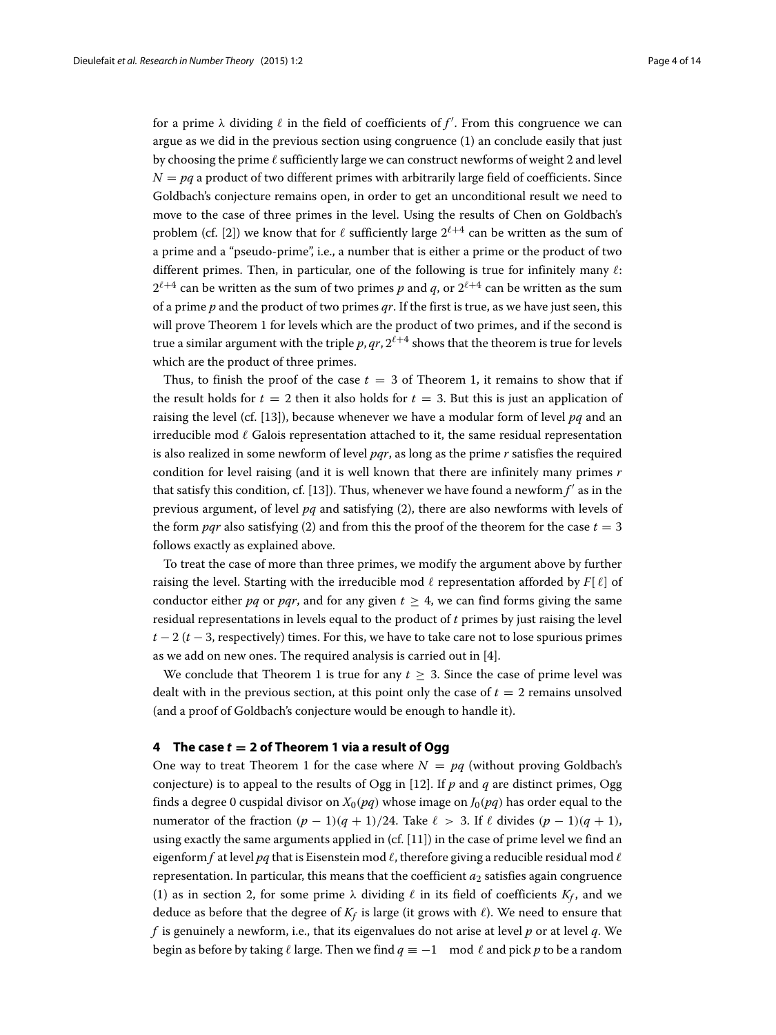for a prime  $\lambda$  dividing  $\ell$  in the field of coefficients of  $f'.$  From this congruence we can argue as we did in the previous section using congruence (1) an conclude easily that just by choosing the prime  $\ell$  sufficiently large we can construct newforms of weight 2 and level  $N = pq$  a product of two different primes with arbitrarily large field of coefficients. Since Goldbach's conjecture remains open, in order to get an unconditional result we need to move to the case of three primes in the level. Using the results of Chen on Goldbach's problem (cf. [\[2\]](#page-13-3)) we know that for  $\ell$  sufficiently large  $2^{\ell+4}$  can be written as the sum of a prime and a "pseudo-prime", i.e., a number that is either a prime or the product of two different primes. Then, in particular, one of the following is true for infinitely many  $\ell$ :  $2^{\ell+4}$  can be written as the sum of two primes p and q, or  $2^{\ell+4}$  can be written as the sum of a prime *p* and the product of two primes *qr*. If the first is true, as we have just seen, this will prove Theorem [1](#page-0-0) for levels which are the product of two primes, and if the second is true a similar argument with the triple  $p, qr, 2^{\ell+4}$  shows that the theorem is true for levels which are the product of three primes.

Thus, to finish the proof of the case  $t = 3$  of Theorem [1,](#page-0-0) it remains to show that if the result holds for  $t = 2$  then it also holds for  $t = 3$ . But this is just an application of raising the level (cf. [\[13\]](#page-13-8)), because whenever we have a modular form of level *pq* and an irreducible mod  $\ell$  Galois representation attached to it, the same residual representation is also realized in some newform of level *pqr*, as long as the prime *r* satisfies the required condition for level raising (and it is well known that there are infinitely many primes *r* that satisfy this condition, cf. [\[13\]](#page-13-8)). Thus, whenever we have found a newform  $f'$  as in the previous argument, of level *pq* and satisfying (2), there are also newforms with levels of the form *pqr* also satisfying (2) and from this the proof of the theorem for the case  $t = 3$ follows exactly as explained above.

To treat the case of more than three primes, we modify the argument above by further raising the level. Starting with the irreducible mod  $\ell$  representation afforded by  $F[\ell]$  of conductor either *pq* or *pqr*, and for any given  $t \geq 4$ , we can find forms giving the same residual representations in levels equal to the product of *t* primes by just raising the level  $t - 2$  ( $t - 3$ , respectively) times. For this, we have to take care not to lose spurious primes as we add on new ones. The required analysis is carried out in [\[4\]](#page-13-9).

We conclude that Theorem [1](#page-0-0) is true for any  $t \geq 3$ . Since the case of prime level was dealt with in the previous section, at this point only the case of  $t = 2$  remains unsolved (and a proof of Goldbach's conjecture would be enough to handle it).

#### **4 The case** *t* **= 2 of Theorem [1](#page-0-0) via a result of Ogg**

One way to treat Theorem [1](#page-0-0) for the case where  $N = pq$  (without proving Goldbach's conjecture) is to appeal to the results of Ogg in [\[12\]](#page-13-10). If *p* and *q* are distinct primes, Ogg finds a degree 0 cuspidal divisor on  $X_0(pq)$  whose image on  $J_0(pq)$  has order equal to the numerator of the fraction  $(p - 1)(q + 1)/24$ . Take  $\ell > 3$ . If  $\ell$  divides  $(p - 1)(q + 1)$ , using exactly the same arguments applied in  $(cf. [11])$  $(cf. [11])$  $(cf. [11])$  in the case of prime level we find an eigenform  $f$  at level  $pq$  that is Eisenstein mod  $\ell$ , therefore giving a reducible residual mod  $\ell$ representation. In particular, this means that the coefficient  $a_2$  satisfies again congruence (1) as in section [2,](#page-2-0) for some prime  $\lambda$  dividing  $\ell$  in its field of coefficients  $K_f$ , and we deduce as before that the degree of  $K_f$  is large (it grows with  $\ell$ ). We need to ensure that *f* is genuinely a newform, i.e., that its eigenvalues do not arise at level *p* or at level *q*. We begin as before by taking  $\ell$  large. Then we find  $q \equiv -1 \mod \ell$  and pick p to be a random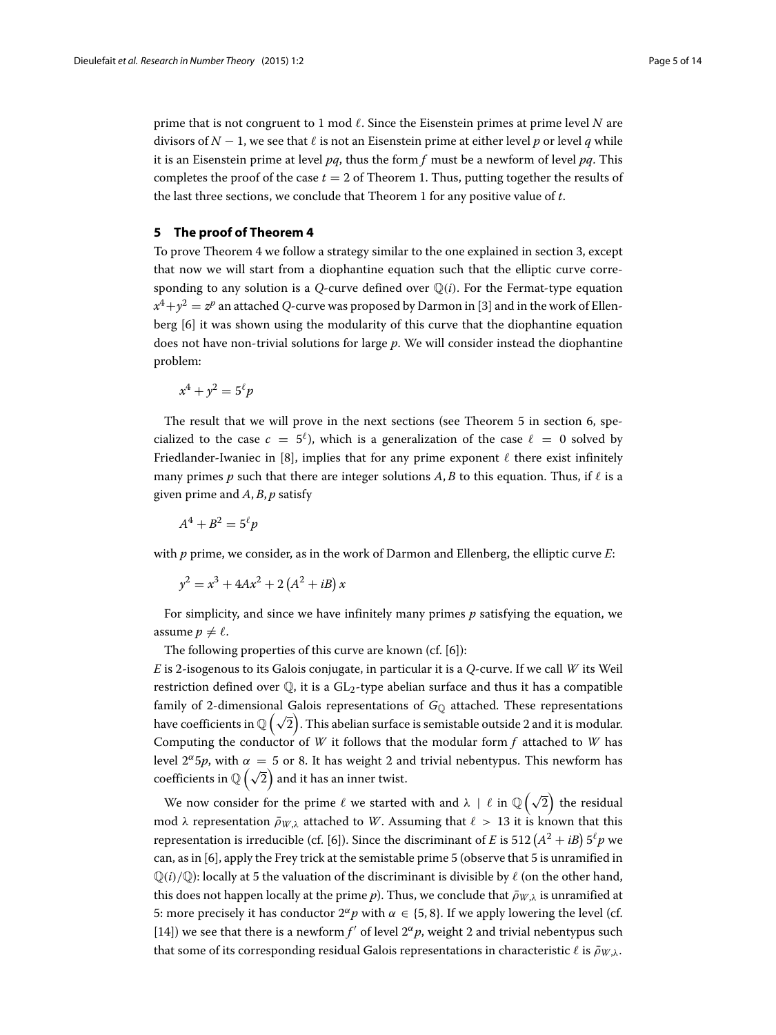prime that is not congruent to 1 mod  $\ell$ . Since the Eisenstein primes at prime level  $N$  are divisors of  $N-1$ , we see that  $\ell$  is not an Eisenstein prime at either level p or level q while it is an Eisenstein prime at level *pq*, thus the form *f* must be a newform of level *pq*. This completes the proof of the case  $t = 2$  of Theorem [1.](#page-0-0) Thus, putting together the results of the last three sections, we conclude that Theorem [1](#page-0-0) for any positive value of *t*.

#### <span id="page-4-0"></span>**5 The proof of Theorem [4](#page-1-1)**

To prove Theorem [4](#page-1-1) we follow a strategy similar to the one explained in section [3,](#page-2-1) except that now we will start from a diophantine equation such that the elliptic curve corresponding to any solution is a *Q*-curve defined over  $\mathbb{Q}(i)$ . For the Fermat-type equation  $x^4 + y^2 = z^p$  an attached *Q*-curve was proposed by Darmon in [\[3\]](#page-13-11) and in the work of Ellenberg [\[6\]](#page-13-12) it was shown using the modularity of this curve that the diophantine equation does not have non-trivial solutions for large *p*. We will consider instead the diophantine problem:

$$
x^4 + y^2 = 5^\ell p
$$

The result that we will prove in the next sections (see Theorem [5](#page-5-1) in section [6,](#page-5-2) specialized to the case  $c = 5^{\ell}$ , which is a generalization of the case  $\ell = 0$  solved by Friedlander-Iwaniec in [\[8\]](#page-13-5), implies that for any prime exponent  $\ell$  there exist infinitely many primes *p* such that there are integer solutions *A*, *B* to this equation. Thus, if  $\ell$  is a given prime and  $A$ ,  $B$ ,  $p$  satisfy

$$
A^4 + B^2 = 5^\ell p
$$

with *p* prime, we consider, as in the work of Darmon and Ellenberg, the elliptic curve *E*:

$$
y^2 = x^3 + 4Ax^2 + 2(A^2 + iB)x
$$

For simplicity, and since we have infinitely many primes *p* satisfying the equation, we assume  $p \neq \ell$ .

The following properties of this curve are known (cf. [\[6\]](#page-13-12)):

*E* is 2-isogenous to its Galois conjugate, in particular it is a *Q*-curve. If we call *W* its Weil restriction defined over  $\mathbb{Q}$ , it is a GL<sub>2</sub>-type abelian surface and thus it has a compatible family of 2-dimensional Galois representations of G<sub>0</sub> attached. These representations have coefficients in  $\mathbb{Q}\left( \sqrt{2} \right)$ . This abelian surface is semistable outside 2 and it is modular. Computing the conductor of *W* it follows that the modular form *f* attached to *W* has level  $2^{\alpha}5p$ , with  $\alpha = 5$  or 8. It has weight 2 and trivial nebentypus. This newform has coefficients in  $\mathbb{Q}(\sqrt{2})$  and it has an inner twist.

We now consider for the prime  $\ell$  we started with and  $\lambda+\ell$  in  $\mathbb{Q}\left(\sqrt{2}\right)$  the residual mod  $\lambda$  representation  $\bar{\rho}_{W,\lambda}$  attached to *W*. Assuming that  $\ell > 13$  it is known that this representation is irreducible (cf. [\[6\]](#page-13-12)). Since the discriminant of *E* is 512  $\left(A^{2}+iB\right)5^{\ell}p$  we can, as in [\[6\]](#page-13-12), apply the Frey trick at the semistable prime 5 (observe that 5 is unramified in  $\mathbb{Q}(i)/\mathbb{Q}$ : locally at 5 the valuation of the discriminant is divisible by  $\ell$  (on the other hand, this does not happen locally at the prime *p*). Thus, we conclude that  $\bar{\rho}_{W,\lambda}$  is unramified at 5: more precisely it has conductor  $2^{\alpha}p$  with  $\alpha \in \{5, 8\}$ . If we apply lowering the level (cf. [\[14\]](#page-13-4)) we see that there is a newform  $f'$  of level  $2^\alpha p$ , weight 2 and trivial nebentypus such that some of its corresponding residual Galois representations in characteristic  $\ell$  is  $\bar{\rho}_{W,\lambda}$ .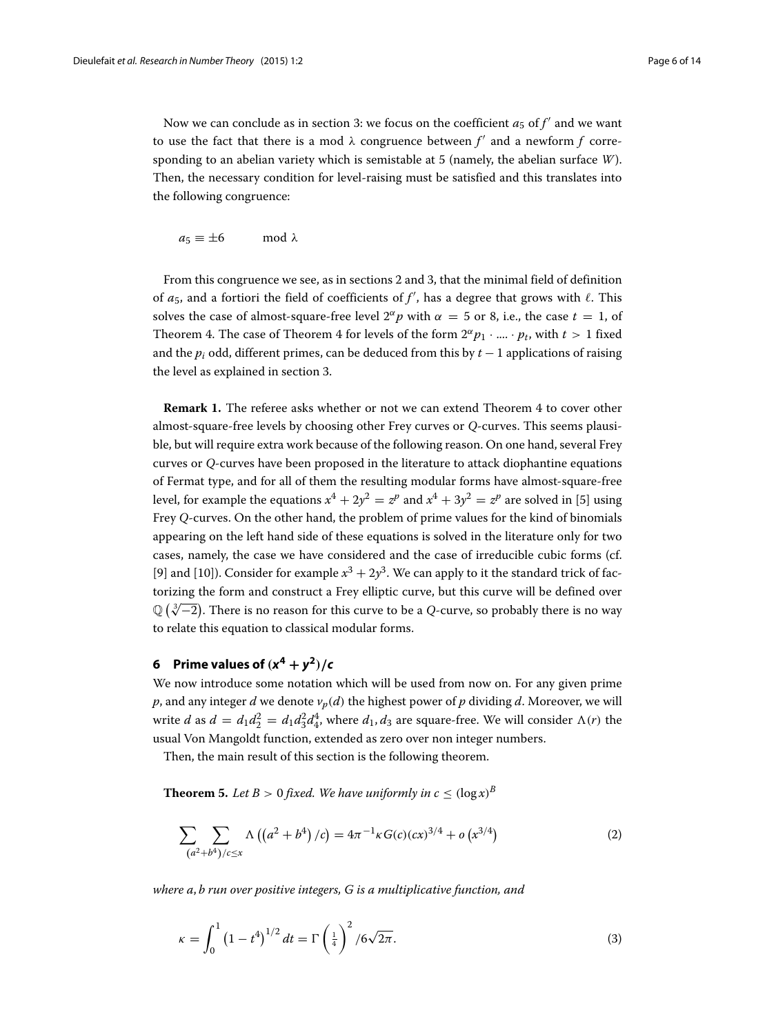Now we can conclude as in section [3:](#page-2-1) we focus on the coefficient  $a_5$  of  $f'$  and we want to use the fact that there is a mod  $\lambda$  congruence between  $f'$  and a newform  $f$  corresponding to an abelian variety which is semistable at 5 (namely, the abelian surface *W*). Then, the necessary condition for level-raising must be satisfied and this translates into the following congruence:

$$
a_5 \equiv \pm 6 \quad \mod \lambda
$$

From this congruence we see, as in sections [2](#page-2-0) and [3,](#page-2-1) that the minimal field of definition of  $a_5$ , and a fortiori the field of coefficients of  $f'$ , has a degree that grows with  $\ell.$  This solves the case of almost-square-free level  $2^{\alpha}p$  with  $\alpha = 5$  or 8, i.e., the case  $t = 1$ , of Theorem [4.](#page-1-1) The case of Theorem [4](#page-1-1) for levels of the form  $2^{\alpha}p_1 \cdot ... \cdot p_t$ , with  $t > 1$  fixed and the *pi* odd, different primes, can be deduced from this by *t* − 1 applications of raising the level as explained in section [3.](#page-2-1)

<span id="page-5-0"></span>**Remark 1.** The referee asks whether or not we can extend Theorem [4](#page-1-1) to cover other almost-square-free levels by choosing other Frey curves or *Q*-curves. This seems plausible, but will require extra work because of the following reason. On one hand, several Frey curves or *Q*-curves have been proposed in the literature to attack diophantine equations of Fermat type, and for all of them the resulting modular forms have almost-square-free level, for example the equations  $x^4 + 2y^2 = z^p$  and  $x^4 + 3y^2 = z^p$  are solved in [\[5\]](#page-13-13) using Frey *Q*-curves. On the other hand, the problem of prime values for the kind of binomials appearing on the left hand side of these equations is solved in the literature only for two cases, namely, the case we have considered and the case of irreducible cubic forms (cf. [\[9\]](#page-13-14) and [\[10\]](#page-13-15)). Consider for example  $x^3 + 2y^3$ . We can apply to it the standard trick of factorizing the form and construct a Frey elliptic curve, but this curve will be defined over  $\mathbb{Q}(\sqrt[3]{-2})$ . There is no reason for this curve to be a *Q*-curve, so probably there is no way to relate this equation to classical modular forms.

### <span id="page-5-2"></span>**6** Prime values of  $(x^4 + y^2)/c$

We now introduce some notation which will be used from now on. For any given prime  $p$ , and any integer  $d$  we denote  $v_p(d)$  the highest power of  $p$  dividing  $d$ . Moreover, we will write *d* as  $d = d_1 d_2^2 = d_1 d_3^2 d_4^4$ , where  $d_1, d_3$  are square-free. We will consider  $\Lambda(r)$  the usual Von Mangoldt function, extended as zero over non integer numbers.

Then, the main result of this section is the following theorem.

<span id="page-5-1"></span>**Theorem 5.** Let  $B > 0$  fixed. We have uniformly in  $c \leq (\log x)^B$ 

$$
\sum_{(a^2+b^4)/c\leq x} \Lambda\left((a^2+b^4)/c\right) = 4\pi^{-1}\kappa G(c)(cx)^{3/4} + o\left(x^{3/4}\right)
$$
 (2)

*where a*, *b run over positive integers, G is a multiplicative function, and*

<span id="page-5-3"></span>
$$
\kappa = \int_0^1 \left(1 - t^4\right)^{1/2} dt = \Gamma\left(\frac{1}{4}\right)^2 / 6\sqrt{2\pi}.
$$
 (3)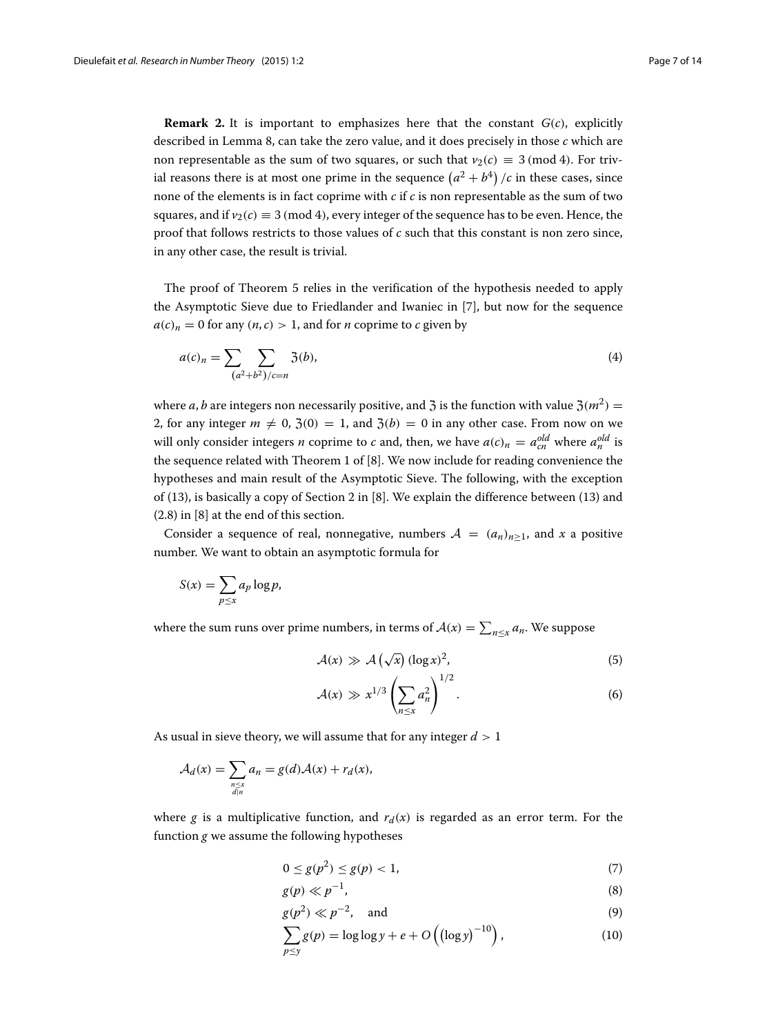**Remark 2.** It is important to emphasizes here that the constant  $G(c)$ , explicitly described in Lemma [8,](#page-9-0) can take the zero value, and it does precisely in those *c* which are non representable as the sum of two squares, or such that  $v_2(c) \equiv 3 \pmod{4}$ . For trivial reasons there is at most one prime in the sequence  $\left(a^2 + b^4\right)/c$  in these cases, since none of the elements is in fact coprime with *c* if *c* is non representable as the sum of two squares, and if  $v_2(c) \equiv 3 \pmod{4}$ , every integer of the sequence has to be even. Hence, the proof that follows restricts to those values of *c* such that this constant is non zero since, in any other case, the result is trivial.

The proof of Theorem [5](#page-5-1) relies in the verification of the hypothesis needed to apply the Asymptotic Sieve due to Friedlander and Iwaniec in [\[7\]](#page-13-16), but now for the sequence  $a(c)<sub>n</sub> = 0$  for any  $(n, c) > 1$ , and for *n* coprime to *c* given by

<span id="page-6-0"></span>
$$
a(c)_n = \sum_{(a^2+b^2)/c=n} \mathfrak{Z}(b),\tag{4}
$$

where *a*, *b* are integers non necessarily positive, and 3 is the function with value  $3(m^2)$  = 2, for any integer  $m \neq 0$ ,  $\mathfrak{Z}(0) = 1$ , and  $\mathfrak{Z}(b) = 0$  in any other case. From now on we will only consider integers *n* coprime to *c* and, then, we have  $a(c)_n = a_{cn}^{old}$  where  $a_n^{old}$  is the sequence related with Theorem 1 of [\[8\]](#page-13-5). We now include for reading convenience the hypotheses and main result of the Asymptotic Sieve. The following, with the exception of [\(13\)](#page-7-0), is basically a copy of Section 2 in [\[8\]](#page-13-5). We explain the difference between [\(13\)](#page-7-0) and (2.8) in [\[8\]](#page-13-5) at the end of this section.

Consider a sequence of real, nonnegative, numbers  $A = (a_n)_{n>1}$ , and x a positive number. We want to obtain an asymptotic formula for

$$
S(x) = \sum_{p \le x} a_p \log p,
$$

where the sum runs over prime numbers, in terms of  $\mathcal{A}(x) = \sum_{n \leq x} a_n$ . We suppose

<span id="page-6-1"></span>
$$
\mathcal{A}(x) \gg \mathcal{A}\left(\sqrt{x}\right) (\log x)^2, \tag{5}
$$

$$
\mathcal{A}(x) \gg x^{1/3} \left( \sum_{n \le x} a_n^2 \right)^{1/2}.
$$
 (6)

As usual in sieve theory, we will assume that for any integer *d* > 1

$$
\mathcal{A}_d(x) = \sum_{\substack{n \leq x \\ d|n}} a_n = g(d)\mathcal{A}(x) + r_d(x),
$$

where *g* is a multiplicative function, and  $r_d(x)$  is regarded as an error term. For the function *g* we assume the following hypotheses

<span id="page-6-2"></span>
$$
0 \le g(p^2) \le g(p) < 1,\tag{7}
$$

$$
g(p) \ll p^{-1},\tag{8}
$$

$$
g(p^2) \ll p^{-2}, \quad \text{and} \tag{9}
$$

$$
\sum_{p \le y} g(p) = \log \log y + e + O\left(\left(\log y\right)^{-10}\right),\tag{10}
$$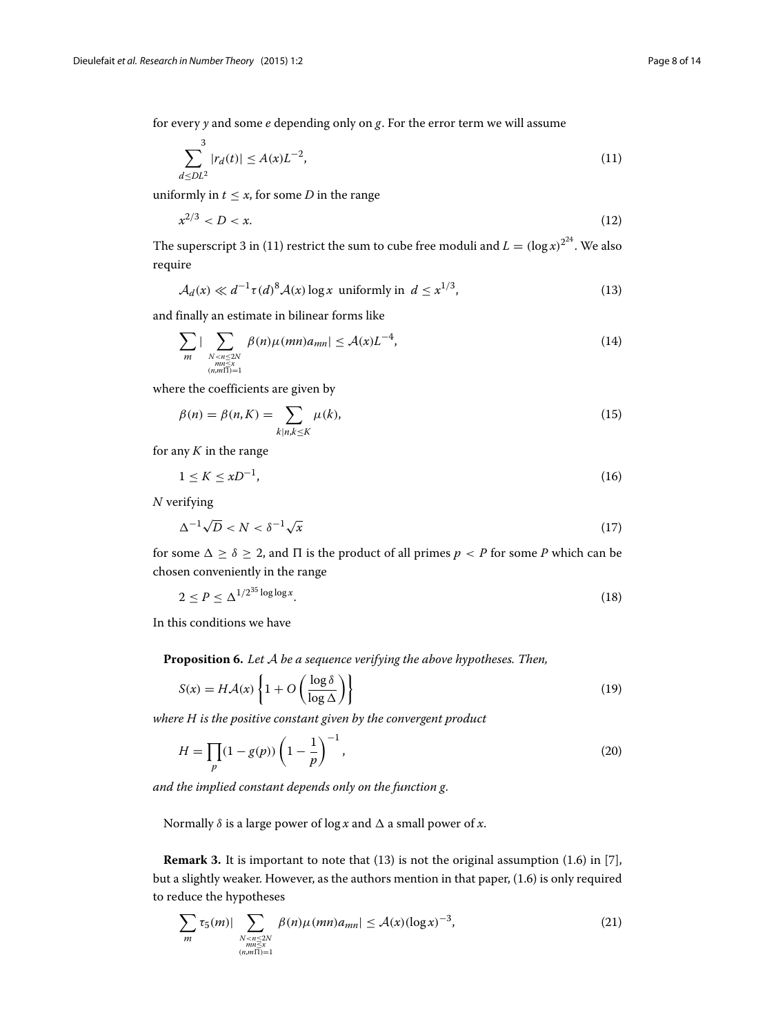for every *y* and some *e* depending only on *g*. For the error term we will assume

<span id="page-7-1"></span>
$$
\sum_{d \leq DL^2}^{3} |r_d(t)| \leq A(x)L^{-2},\tag{11}
$$

uniformly in  $t \leq x$ , for some *D* in the range

$$
x^{2/3} < D < x. \tag{12}
$$

The superscript 3 in [\(11\)](#page-7-1) restrict the sum to cube free moduli and  $L = (\log x)^{2^2}$ . We also require

<span id="page-7-2"></span><span id="page-7-0"></span>
$$
\mathcal{A}_d(x) \ll d^{-1} \tau(d)^8 \mathcal{A}(x) \log x \text{ uniformly in } d \leq x^{1/3},\tag{13}
$$

and finally an estimate in bilinear forms like

$$
\sum_{m} |\sum_{\substack{N\n(14)
$$

where the coefficients are given by

<span id="page-7-4"></span>
$$
\beta(n) = \beta(n, K) = \sum_{k|n, k \le K} \mu(k),\tag{15}
$$

for any  $K$  in the range

$$
1 \leq K \leq xD^{-1},\tag{16}
$$

*N* verifying

$$
\Delta^{-1}\sqrt{D} < N < \delta^{-1}\sqrt{x} \tag{17}
$$

for some  $\Delta > \delta > 2$ , and  $\Pi$  is the product of all primes  $p < P$  for some P which can be chosen conveniently in the range

$$
2 \le P \le \Delta^{1/2^{35} \log \log x}.\tag{18}
$$

In this conditions we have

<span id="page-7-3"></span>**Proposition 6.** *Let* A *be a sequence verifying the above hypotheses. Then,*

$$
S(x) = H\mathcal{A}(x) \left\{ 1 + O\left(\frac{\log \delta}{\log \Delta}\right) \right\} \tag{19}
$$

*where H is the positive constant given by the convergent product*

<span id="page-7-5"></span>
$$
H = \prod_{p} (1 - g(p)) \left( 1 - \frac{1}{p} \right)^{-1},
$$
\n(20)

*and the implied constant depends only on the function g.*

Normally  $\delta$  is a large power of log *x* and  $\Delta$  a small power of *x*.

**Remark 3.** It is important to note that [\(13\)](#page-7-0) is not the original assumption (1.6) in [\[7\]](#page-13-16), but a slightly weaker. However, as the authors mention in that paper, (1.6) is only required to reduce the hypotheses

$$
\sum_{m} \tau_5(m)| \sum_{\substack{N < n \le 2N \\ m \le x \\ (n,m \Pi) = 1}} \beta(n)\mu(mn)a_{mn}| \le \mathcal{A}(x)(\log x)^{-3},\tag{21}
$$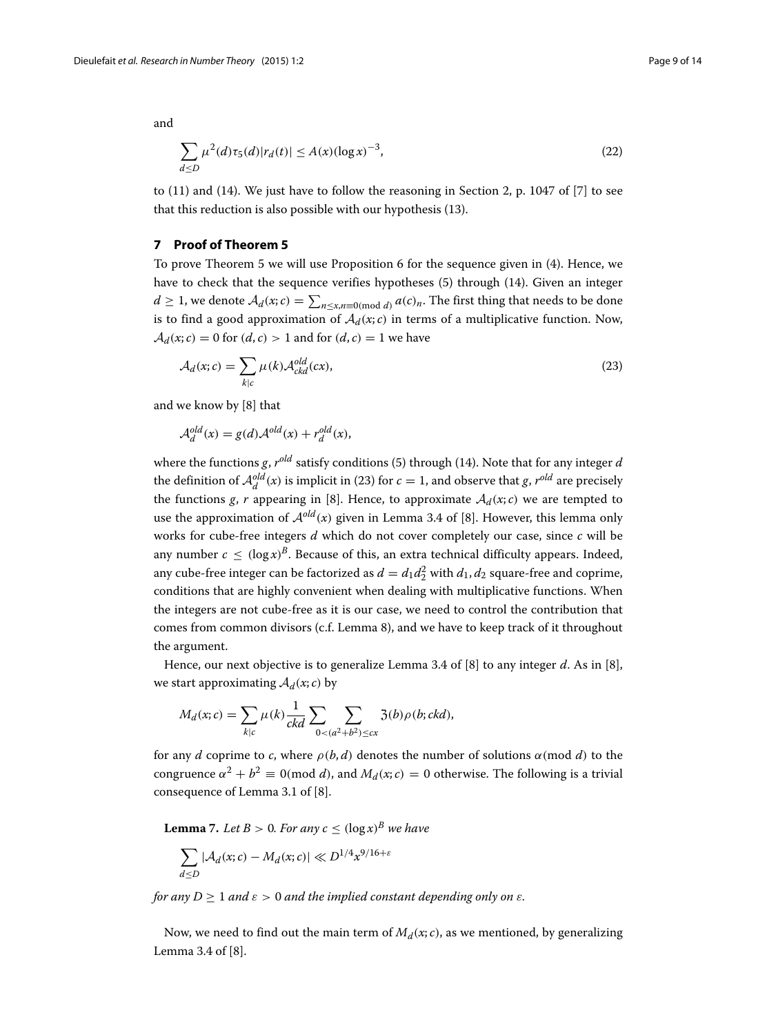and

$$
\sum_{d \le D} \mu^2(d)\tau_5(d)|r_d(t)| \le A(x)(\log x)^{-3},\tag{22}
$$

to [\(11\)](#page-7-1) and [\(14\)](#page-7-2). We just have to follow the reasoning in Section 2, p. 1047 of [\[7\]](#page-13-16) to see that this reduction is also possible with our hypothesis [\(13\)](#page-7-0).

#### **7 Proof of Theorem [5](#page-5-1)**

To prove Theorem [5](#page-5-1) we will use Proposition [6](#page-7-3) for the sequence given in [\(4\)](#page-6-0). Hence, we have to check that the sequence verifies hypotheses [\(5\)](#page-6-1) through [\(14\)](#page-7-2). Given an integer *d* ≥ 1, we denote  $A_d(x; c) = \sum_{n \le x, n \equiv 0 \pmod{d}} a(c)_n$ . The first thing that needs to be done is to find a good approximation of  $A_d(x; c)$  in terms of a multiplicative function. Now,  $A_d(x; c) = 0$  for  $(d, c) > 1$  and for  $(d, c) = 1$  we have

<span id="page-8-0"></span>
$$
\mathcal{A}_d(x;c) = \sum_{k|c} \mu(k) \mathcal{A}_{ckd}^{old}(cx),\tag{23}
$$

and we know by [\[8\]](#page-13-5) that

 $\mathcal{A}_d^{old}(x) = g(d)\mathcal{A}^{old}(x) + r_d^{old}(x),$ 

where the functions *g*, *rold* satisfy conditions [\(5\)](#page-6-1) through [\(14\)](#page-7-2). Note that for any integer *d* the definition of  $\mathcal{A}^{old}_{d}(x)$  is implicit in [\(23\)](#page-8-0) for  $c = 1$ , and observe that *g*,  $r^{old}$  are precisely the functions *g*, *r* appearing in [\[8\]](#page-13-5). Hence, to approximate  $A_d(x; c)$  we are tempted to use the approximation of  $\mathcal{A}^{old}(x)$  given in Lemma 3.4 of [\[8\]](#page-13-5). However, this lemma only works for cube-free integers *d* which do not cover completely our case, since *c* will be any number  $c < (\log x)^B$ . Because of this, an extra technical difficulty appears. Indeed, any cube-free integer can be factorized as  $d = d_1 d_2^2$  with  $d_1, d_2$  square-free and coprime, conditions that are highly convenient when dealing with multiplicative functions. When the integers are not cube-free as it is our case, we need to control the contribution that comes from common divisors (c.f. Lemma 8), and we have to keep track of it throughout the argument.

Hence, our next objective is to generalize Lemma 3.4 of [\[8\]](#page-13-5) to any integer *d*. As in [\[8\]](#page-13-5), we start approximating  $A_d(x; c)$  by

$$
M_d(x; c) = \sum_{k|c} \mu(k) \frac{1}{ckd} \sum_{0 < (a^2 + b^2) \leq cx} \mathfrak{Z}(b) \rho(b; ckd),
$$

for any *d* coprime to *c*, where  $\rho(b, d)$  denotes the number of solutions  $\alpha \pmod{d}$  to the congruence  $\alpha^2 + b^2 \equiv 0 \pmod{d}$ , and  $M_d(x; c) = 0$  otherwise. The following is a trivial consequence of Lemma 3.1 of [\[8\]](#page-13-5).

<span id="page-8-1"></span>**Lemma** 7. Let  $B > 0$ . For any  $c < (\log x)^B$  we have

$$
\sum_{d \le D} |\mathcal{A}_d(x; c) - M_d(x; c)| \ll D^{1/4} x^{9/16 + \varepsilon}
$$

*for any*  $D > 1$  *and*  $\varepsilon > 0$  *and the implied constant depending only on*  $\varepsilon$ *.* 

Now, we need to find out the main term of  $M_d(x; c)$ , as we mentioned, by generalizing Lemma 3.4 of [\[8\]](#page-13-5).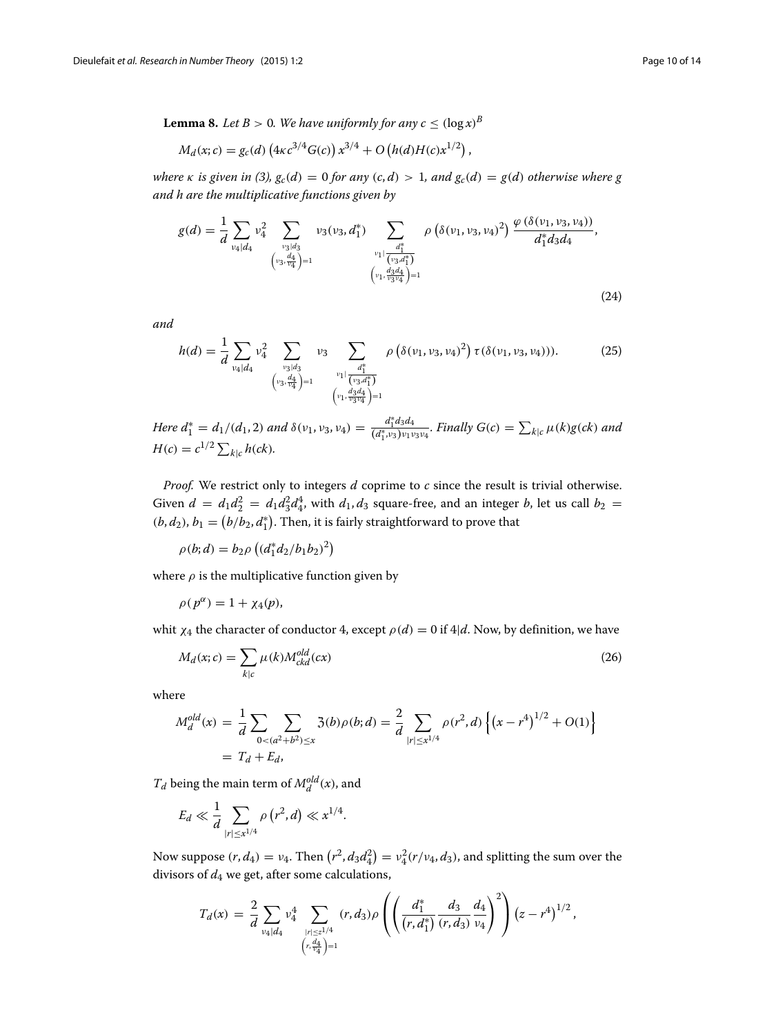<span id="page-9-0"></span>**Lemma 8.** *Let*  $B > 0$ *. We have uniformly for any*  $c \leq (\log x)^B$ 

$$
M_d(x; c) = g_c(d) \left( 4\kappa c^{3/4} G(c) \right) x^{3/4} + O\left( h(d) H(c) x^{1/2} \right),
$$

*where*  $\kappa$  *is given in* [\(3\)](#page-5-3),  $g_c(d) = 0$  *for any* (*c*, *d*) > 1, and  $g_c(d) = g(d)$  otherwise where g *and h are the multiplicative functions given by*

<span id="page-9-1"></span>
$$
g(d) = \frac{1}{d} \sum_{\substack{\nu_4 \mid d_4}} \nu_4^2 \sum_{\substack{\nu_3 \mid d_3 \\ (\nu_3, \frac{d_4}{\nu_4}) = 1}} \nu_3(\nu_3, d_1^*) \sum_{\substack{\frac{d_1^*}{(\nu_3, d_1^*)}}{\nu_1 \mid \frac{d_1^*}{(\nu_3, d_1^*)}}} \rho\left(\delta(\nu_1, \nu_3, \nu_4)^2\right) \frac{\varphi\left(\delta(\nu_1, \nu_3, \nu_4)\right)}{d_1^* d_3 d_4},
$$
\n
$$
\left(\nu_1, \frac{d_3^* d_4}{\nu_3 \nu_4}\right) = 1
$$
\n
$$
(24)
$$

*and*

<span id="page-9-2"></span>
$$
h(d) = \frac{1}{d} \sum_{\substack{\nu_4 | d_4}} \nu_4^2 \sum_{\substack{\nu_3 | d_3 \\ (\nu_3, \frac{d_4}{\nu_4}) = 1}} \nu_3 \sum_{\substack{\frac{d_1^*}{(\nu_3, d_1^*)} \\ (\nu_1, \frac{d_3 d_4}{\nu_3 \nu_4}) = 1}} \rho\left(\delta(\nu_1, \nu_3, \nu_4)^2\right) \tau(\delta(\nu_1, \nu_3, \nu_4))).
$$
 (25)

*Here*  $d_1^* = d_1/(d_1, 2)$  *and*  $\delta(\nu_1, \nu_3, \nu_4) = \frac{d_1^* d_3 d_4}{(d_1^*, \nu_3)\nu_1}$  $\frac{a_1 a_3 a_4}{(d_1^*, v_3) v_1 v_3 v_4}$ *. Finally G*(*c*) =  $\sum_{k|c} \mu(k)g(ck)$  and  $H(c) = c^{1/2} \sum_{k|c} h(ck)$ .

*Proof.* We restrict only to integers *d* coprime to *c* since the result is trivial otherwise. Given  $d = d_1 d_2^2 = d_1 d_3^2 d_4^4$ , with  $d_1, d_3$  square-free, and an integer *b*, let us call  $b_2 =$  $(b, d_2)$ ,  $b_1 = (b/b_2, d_1^*)$ . Then, it is fairly straightforward to prove that

 $\rho(b; d) = b_2 \rho \left( \frac{d_1^* d_2}{b_1 b_2} \right)^2$ 

where  $\rho$  is the multiplicative function given by

$$
\rho(p^{\alpha}) = 1 + \chi_4(p),
$$

whit  $\chi_4$  the character of conductor 4, except  $\rho(d) = 0$  if  $4|d$ . Now, by definition, we have

<span id="page-9-3"></span>
$$
M_d(x; c) = \sum_{k|c} \mu(k) M_{ckd}^{old}(cx)
$$
\n(26)

where

$$
M_d^{old}(x) = \frac{1}{d} \sum_{0 < (a^2 + b^2) \le x} \mathfrak{Z}(b) \rho(b; d) = \frac{2}{d} \sum_{|r| \le x^{1/4}} \rho(r^2, d) \left\{ (x - r^4)^{1/2} + O(1) \right\}
$$
\n
$$
= T_d + E_d,
$$

 $T_d$  being the main term of  $M_d^{old}(x)$ , and

$$
E_d \ll \frac{1}{d} \sum_{|r| \le x^{1/4}} \rho(r^2, d) \ll x^{1/4}.
$$

Now suppose  $(r, d_4) = v_4$ . Then  $(r^2, d_3d_4^2) = v_4^2(r/v_4, d_3)$ , and splitting the sum over the divisors of  $d_4$  we get, after some calculations,

$$
T_d(x) = \frac{2}{d} \sum_{\substack{\nu_4 \mid d_4}} \nu_4^4 \sum_{\substack{|r| \leq z^{1/4} \\ (r, \frac{d_4}{\nu_4}) = 1}} (r, d_3) \rho \left( \left( \frac{d_1^*}{(r, d_1^*)} \frac{d_3}{(r, d_3)} \frac{d_4}{\nu_4} \right)^2 \right) (z - r^4)^{1/2},
$$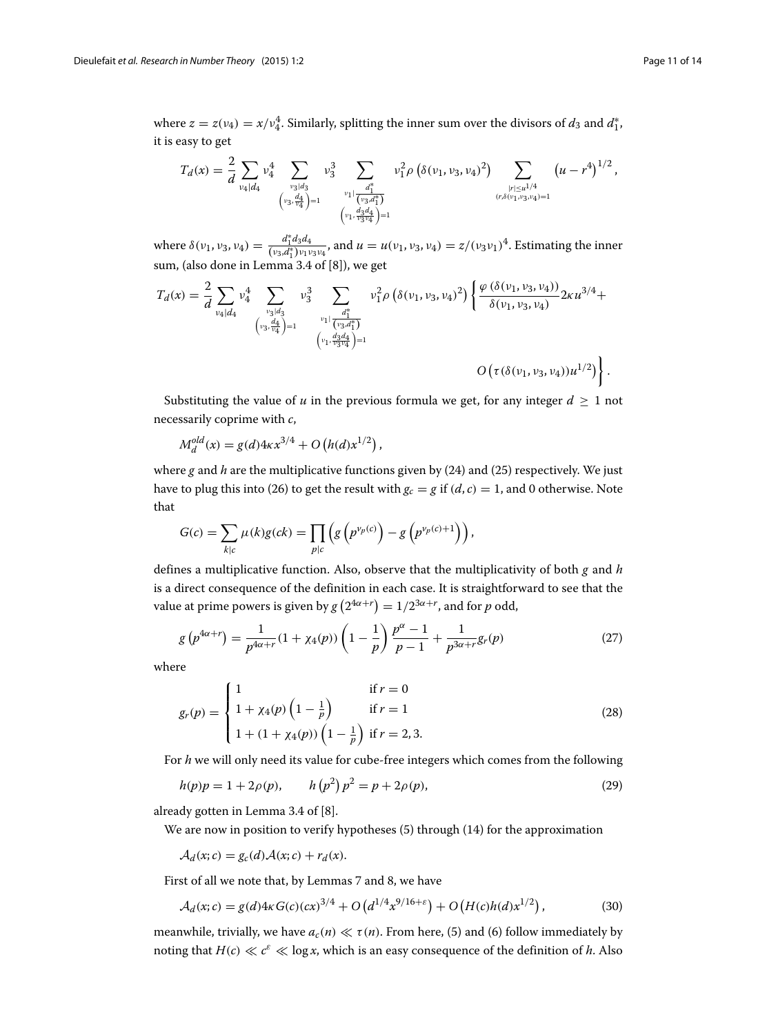where  $z = z(v_4) = x/v_4^4$ . Similarly, splitting the inner sum over the divisors of  $d_3$  and  $d_1^*$ , it is easy to get

$$
T_d(x) = \frac{2}{d} \sum_{\substack{\nu_4 | d_4}} \nu_4^4 \sum_{\substack{\nu_3 | d_3 \\ (\nu_3, \frac{d_4}{\nu_4}) = 1}} \nu_3^3 \sum_{\substack{\frac{d_1^*}{(\nu_3, d_1^*)}} \nu_1^2 \rho(\delta(\nu_1, \nu_3, \nu_4)^2)} \sum_{\substack{|\nu| \leq u^{1/4} \\ (\nu, \delta(\nu_1, \nu_3, \nu_4) = 1}} (u - r^4)^{1/2},
$$

where  $\delta(v_1, v_3, v_4) = \frac{d_1^* d_3 d_4}{(v_3, d_1^*)v_1}$  $\frac{a_1^2 a_3 a_4}{(v_3 a_1^*) v_1 v_3 v_4}$ , and  $u = u(v_1, v_3, v_4) = z/(v_3 v_1)^4$ . Estimating the inner sum, (also done in Lemma 3.4 of [\[8\]](#page-13-5)), we get

$$
T_d(x) = \frac{2}{d} \sum_{\substack{\nu_4 \mid d_4}} \nu_4^4 \sum_{\substack{\nu_3 \mid d_3 \\ (\nu_3 \cdot \frac{d_4}{\nu_4}) = 1}} \nu_3^3 \sum_{\substack{\nu_1 \mid \frac{d_1^*}{(\nu_3 \cdot d_1^*)} \\ (\nu_1 \cdot \frac{d_3 d_4}{\nu_3 \cdot \nu_4}) = 1}} \nu_1^2 \rho \left( \delta(\nu_1, \nu_3, \nu_4)^2 \right) \left\{ \frac{\varphi(\delta(\nu_1, \nu_3, \nu_4))}{\delta(\nu_1, \nu_3, \nu_4)} 2 \kappa u^{3/4} + \frac{\varphi(\delta(\nu_1, \nu_3, \nu_4))}{\varphi(\nu_1, \nu_3, \nu_4)} 2 \kappa u^{3/4} + \frac{\varphi(\delta(\nu_1, \nu_3, \nu_4))}{\varphi(\nu_1, \nu_3, \nu_4)} 2 \kappa u^{3/4} + \frac{\varphi(\delta(\nu_1, \nu_3, \nu_4))}{\varphi(\nu_1, \nu_3, \nu_4)} 2 \kappa u^{3/4} + \frac{\varphi(\delta(\nu_1, \nu_3, \nu_4))}{\varphi(\nu_1, \nu_3, \nu_4)} 2 \kappa u^{3/4} + \frac{\varphi(\delta(\nu_1, \nu_3, \nu_4))}{\varphi(\nu_1, \nu_3, \nu_4)} 2 \kappa u^{3/4} + \frac{\varphi(\delta(\nu_1, \nu_3, \nu_4))}{\varphi(\nu_1, \nu_3, \nu_4)} 2 \kappa u^{3/4} + \frac{\varphi(\delta(\nu_1, \nu_3, \nu_4))}{\varphi(\nu_1, \nu_3, \nu_4)} 2 \kappa u^{3/4} + \frac{\varphi(\delta(\nu_1, \nu_3, \nu_4))}{\varphi(\nu_1, \nu_3, \nu_4)} 2 \kappa u^{3/4} + \frac{\varphi(\delta(\nu_1, \nu_3, \nu_4))}{\varphi(\nu_1, \nu_3, \nu_4)} 2 \kappa u^{3/4} + \frac{\varphi(\delta(\nu_1, \nu_3, \nu_4))}{\varphi(\nu_1, \nu_3, \nu_4)} 2 \kappa u^{3/4
$$

Substituting the value of *u* in the previous formula we get, for any integer  $d \geq 1$  not necessarily coprime with *c*,

$$
M_d^{old}(x) = g(d)4\kappa x^{3/4} + O\left(h(d)x^{1/2}\right),
$$

where *g* and *h* are the multiplicative functions given by [\(24\)](#page-9-1) and [\(25\)](#page-9-2) respectively. We just have to plug this into [\(26\)](#page-9-3) to get the result with  $g_c = g$  if  $(d, c) = 1$ , and 0 otherwise. Note that

$$
G(c) = \sum_{k|c} \mu(k)g(ck) = \prod_{p|c} \left( g\left(p^{\nu_p(c)}\right) - g\left(p^{\nu_p(c)+1}\right) \right),
$$

defines a multiplicative function. Also, observe that the multiplicativity of both *g* and *h* is a direct consequence of the definition in each case. It is straightforward to see that the value at prime powers is given by  $g(2^{4\alpha+r}) = 1/2^{3\alpha+r}$ , and for  $p$  odd,

<span id="page-10-0"></span>
$$
g(p^{4\alpha+r}) = \frac{1}{p^{4\alpha+r}}(1+\chi_4(p))\left(1-\frac{1}{p}\right)\frac{p^{\alpha}-1}{p-1} + \frac{1}{p^{3\alpha+r}}g_r(p) \tag{27}
$$

where

<span id="page-10-1"></span>
$$
g_r(p) = \begin{cases} 1 & \text{if } r = 0\\ 1 + \chi_4(p) \left(1 - \frac{1}{p}\right) & \text{if } r = 1\\ 1 + (1 + \chi_4(p)) \left(1 - \frac{1}{p}\right) & \text{if } r = 2, 3. \end{cases}
$$
(28)

For *h* we will only need its value for cube-free integers which comes from the following

$$
h(p)p = 1 + 2\rho(p), \qquad h(p^2)p^2 = p + 2\rho(p), \tag{29}
$$

already gotten in Lemma 3.4 of [\[8\]](#page-13-5).

We are now in position to verify hypotheses [\(5\)](#page-6-1) through [\(14\)](#page-7-2) for the approximation

<span id="page-10-2"></span>
$$
\mathcal{A}_d(x;c) = g_c(d)\mathcal{A}(x;c) + r_d(x).
$$

First of all we note that, by Lemmas [7](#page-8-1) and [8,](#page-9-0) we have

$$
\mathcal{A}_d(x;c) = g(d)4\kappa G(c)(cx)^{3/4} + O\left(d^{1/4}x^{9/16+\epsilon}\right) + O\left(H(c)h(d)x^{1/2}\right),\tag{30}
$$

meanwhile, trivially, we have  $a_c(n) \ll \tau(n)$ . From here, [\(5\)](#page-6-1) and [\(6\)](#page-6-1) follow immediately by noting that  $H(c) \ll c^{\varepsilon} \ll \log x$ , which is an easy consequence of the definition of *h*. Also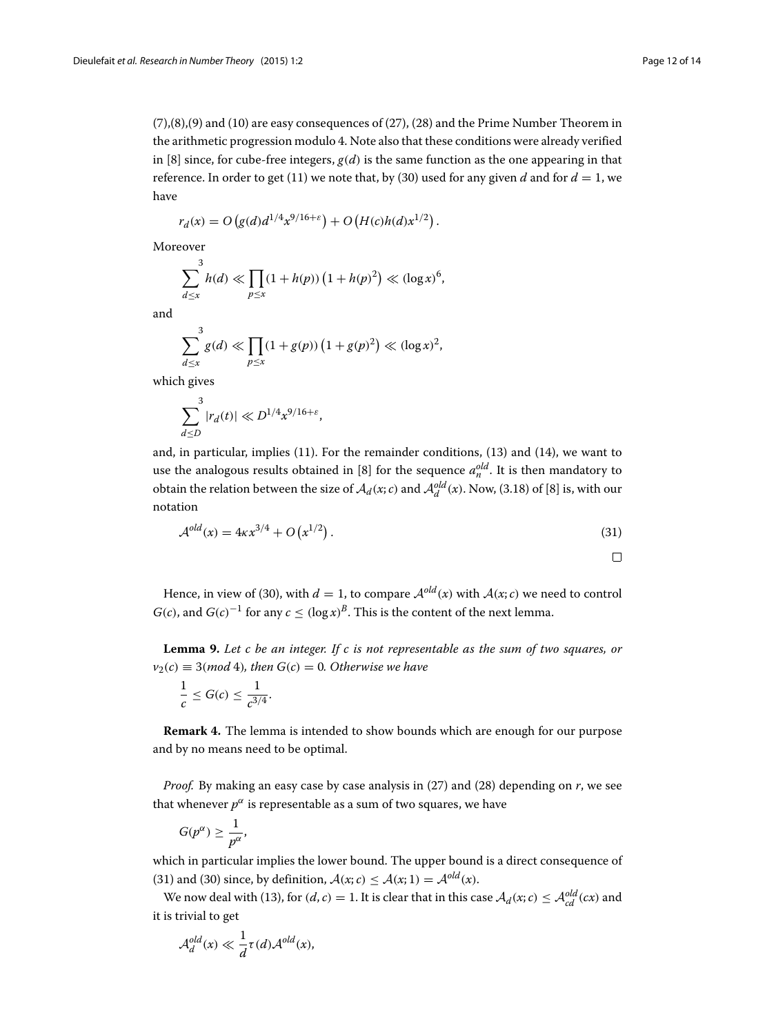[\(7\)](#page-6-2),[\(8\)](#page-6-2),[\(9\)](#page-6-2) and [\(10\)](#page-6-2) are easy consequences of [\(27\)](#page-10-0), [\(28\)](#page-10-1) and the Prime Number Theorem in the arithmetic progression modulo 4. Note also that these conditions were already verified in [\[8\]](#page-13-5) since, for cube-free integers,  $g(d)$  is the same function as the one appearing in that reference. In order to get [\(11\)](#page-7-1) we note that, by [\(30\)](#page-10-2) used for any given *d* and for  $d = 1$ , we have

$$
r_d(x) = O(g(d)d^{1/4}x^{9/16+\epsilon}) + O(H(c)h(d)x^{1/2}).
$$

Moreover

$$
\sum_{d \le x}^{3} h(d) \ll \prod_{p \le x} (1 + h(p)) (1 + h(p)^2) \ll (\log x)^6,
$$

and

$$
\sum_{d \le x}^{3} g(d) \ll \prod_{p \le x} (1 + g(p)) (1 + g(p)^{2}) \ll (\log x)^{2},
$$

which gives

$$
\sum_{d\leq D}^{3}|r_d(t)|\ll D^{1/4}x^{9/16+\varepsilon},
$$

and, in particular, implies [\(11\)](#page-7-1). For the remainder conditions, [\(13\)](#page-7-0) and [\(14\)](#page-7-2), we want to use the analogous results obtained in [\[8\]](#page-13-5) for the sequence  $a_n^{old}$ . It is then mandatory to obtain the relation between the size of  $\mathcal{A}_d(x; c)$  and  $\mathcal{A}_d^{old}(x)$ . Now, (3.18) of [\[8\]](#page-13-5) is, with our notation

<span id="page-11-0"></span>
$$
A^{old}(x) = 4\kappa x^{3/4} + O(x^{1/2}).
$$
\n(31)

 $\Box$ 

Hence, in view of [\(30\)](#page-10-2), with  $d = 1$ , to compare  $A^{old}(x)$  with  $A(x; c)$  we need to control *G*(*c*), and *G*(*c*)<sup>−1</sup> for any *c* <  $(\log x)^B$ . This is the content of the next lemma.

<span id="page-11-1"></span>**Lemma 9.** *Let c be an integer. If c is not representable as the sum of two squares, or*  $v_2(c) \equiv 3(mod 4)$ *, then*  $G(c) = 0$ *. Otherwise we have* 

$$
\frac{1}{c} \le G(c) \le \frac{1}{c^{3/4}}.
$$

**Remark 4.** The lemma is intended to show bounds which are enough for our purpose and by no means need to be optimal.

*Proof.* By making an easy case by case analysis in [\(27\)](#page-10-0) and [\(28\)](#page-10-1) depending on *r*, we see that whenever  $p^{\alpha}$  is representable as a sum of two squares, we have

$$
G(p^{\alpha}) \geq \frac{1}{p^{\alpha}},
$$

which in particular implies the lower bound. The upper bound is a direct consequence of [\(31\)](#page-11-0) and [\(30\)](#page-10-2) since, by definition,  $A(x; c) \leq A(x; 1) = A^{old}(x)$ .

We now deal with [\(13\)](#page-7-0), for  $(d, c) = 1$ . It is clear that in this case  $\mathcal{A}_d(x; c) \leq \mathcal{A}_{cd}^{old}(cx)$  and it is trivial to get

$$
\mathcal{A}_d^{old}(x) \ll \frac{1}{d}\tau(d)\mathcal{A}^{old}(x),
$$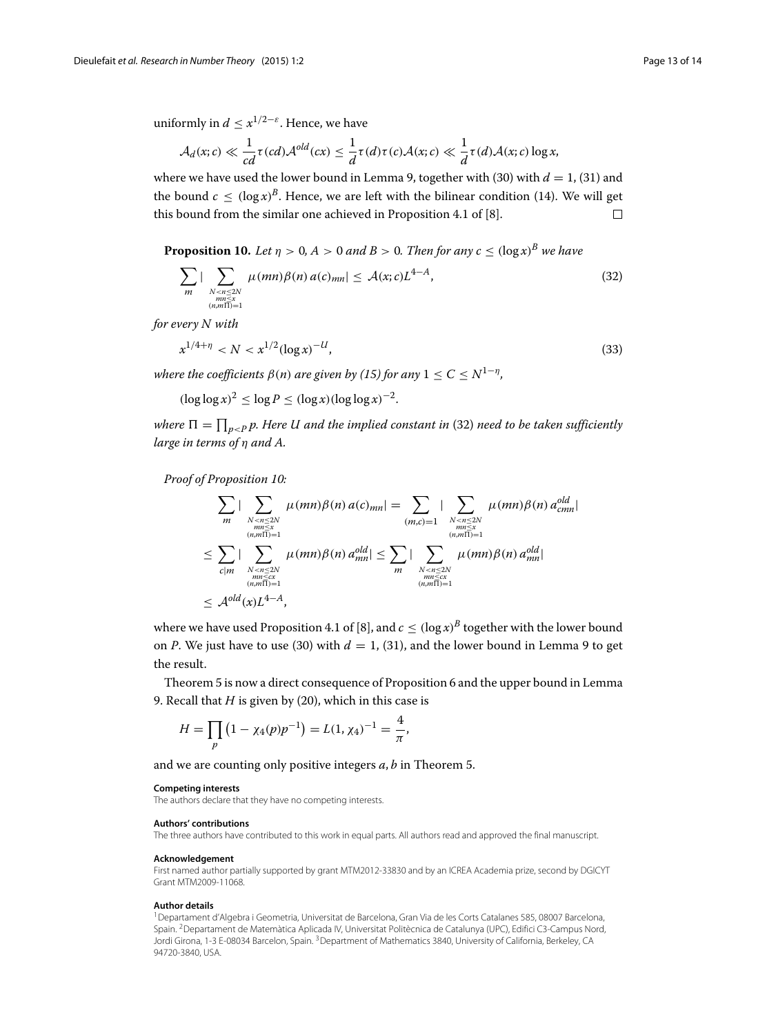uniformly in  $d \leq x^{1/2-\epsilon}$ . Hence, we have

$$
\mathcal{A}_d(x;c)\ll \frac{1}{cd}\tau(cd)\mathcal{A}^{old}(cx)\leq \frac{1}{d}\tau(d)\tau(c)\mathcal{A}(x;c)\ll \frac{1}{d}\tau(d)\mathcal{A}(x;c)\log x,
$$

where we have used the lower bound in Lemma [9,](#page-11-1) together with [\(30\)](#page-10-2) with  $d = 1$ , [\(31\)](#page-11-0) and the bound  $c < (\log x)^B$ . Hence, we are left with the bilinear condition [\(14\)](#page-7-2). We will get this bound from the similar one achieved in Proposition 4.1 of [\[8\]](#page-13-5).  $\Box$ 

<span id="page-12-1"></span>**Proposition 10.** *Let*  $n > 0$ ,  $A > 0$  *and*  $B > 0$ . *Then for any*  $c \leq (\log x)^B$  *we have* 

<span id="page-12-0"></span>
$$
\sum_{m} \left| \sum_{\substack{N < n \le 2N \\ m \le x \\ (n,m \Pi) = 1}} \mu(mn) \beta(n) a(c)_{mn} \right| \le \mathcal{A}(x;c) L^{4-A},\tag{32}
$$

*for every N with*

$$
x^{1/4+\eta} < N < x^{1/2} (\log x)^{-U},\tag{33}
$$

*where the coefficients*  $\beta(n)$  *are given by [\(15\)](#page-7-4) for any*  $1 \le C \le N^{1-\eta}$ *,* 

 $(\log \log x)^2 \le \log P \le (\log x)(\log \log x)^{-2}$ .

where  $\Pi = \prod_{p < P} p.$  Here U and the implied constant in [\(32\)](#page-12-0) need to be taken sufficiently *large in terms of* η *and A.*

*Proof of Proposition [10:](#page-12-1)*

$$
\sum_{m} |\sum_{\substack{N \le n \le 2N \\ (n,m \equiv 1) = 1}} \mu(mn)\beta(n) a(c)_{mn}| = \sum_{\substack{m \le n \le 2N \\ (n,m \equiv 2) \\ (n,m \equiv 2) \\ (n,m \equiv 1) \\ (n,m \equiv 2) \\ (n,m \equiv 1) \\ (n,m \equiv 1) \\ (n,m \equiv 1) \\ (n,m \equiv 1) \\ (n,m \equiv 1) \\ (n,m \equiv 1) \\ (n,m \equiv 1) \\ (n,m \equiv 1) \\ (n,m \equiv 1) \\ (n,m \equiv 1) \\ (n,m \equiv 1) \\ (n,m \equiv 1) \\ (n,m \equiv 1) \\ (n,m \equiv 1) \\ (n,m \equiv 1) \\ (n,m \equiv 1) \\ (n,m \equiv 1) \\ (n,m \equiv 1) \\ (n,m \equiv 1) \\ (n,m \equiv 1) \\ (n,m \equiv 1) \\ (n,m \equiv 1) \\ (n,m \equiv 1) \\ (n,m \equiv 1) \\ (n,m \equiv 1) \\ (n,m \equiv 1) \\ (n,m \equiv 1) \\ (n,m \equiv 1) \\ (n,m \equiv 1) \\ (n,m \equiv 1) \\ (n,m \equiv 1) \\ (n,m \equiv 1) \\ (n,m \equiv 1) \\ (n,m \equiv 1) \\ (n,m \equiv 1) \\ (n,m \equiv 1) \\ (n,m \equiv 1) \\ (n,m \equiv 1) \\ (n,m \equiv 1) \\ (n,m \equiv 1) \\ (n,m \equiv 1) \\ (n,m \equiv 1) \\ (n,m \equiv 1) \\ (n,m \equiv 1) \\ (n,m \equiv 1) \\ (n,m \equiv 1) \\ (n,m \equiv 1) \\ (n,m \equiv 1) \\ (n,m \equiv 1) \\ (n,m \equiv 1) \\ (n,m \equiv 1) \\ (n,m \equiv 1) \\ (n,m \equiv 1) \\ (n,m \equiv 1) \\ (n,m \equiv 1) \\ (n,m \equiv 1) \\ (n,m \equiv 1) \\ (n,m \equiv 1) \\ (n,m \equiv 1) \\ (n,m \equiv 1) \\ (n,m \equiv 1) \\ (n,m \equiv 1) \\ (n,m \equiv 1) \\ (n,m \equiv 1) \\ (n,m \equiv 1) \\ (n,m \equiv 1) \\ (n,m \equiv 1) \\ (n,m \equiv 1) \\ (n,m \equiv 1) \\ (n,m \equiv 1) \\ (n,m \equiv 1) \\ (n,m \equiv 1) \\ (n,m \equiv 1) \\ (
$$

where we have used Proposition 4.1 of [\[8\]](#page-13-5), and  $c \leq (\log x)^B$  together with the lower bound on *P*. We just have to use [\(30\)](#page-10-2) with  $d = 1$ , [\(31\)](#page-11-0), and the lower bound in Lemma [9](#page-11-1) to get the result.

Theorem [5](#page-5-1) is now a direct consequence of Proposition [6](#page-7-3) and the upper bound in Lemma [9.](#page-11-1) Recall that *H* is given by [\(20\)](#page-7-5), which in this case is

$$
H = \prod_{p} \left( 1 - \chi_4(p) p^{-1} \right) = L(1, \chi_4)^{-1} = \frac{4}{\pi},
$$

and we are counting only positive integers *a*, *b* in Theorem [5.](#page-5-1)

#### **Competing interests**

The authors declare that they have no competing interests.

#### **Authors' contributions**

The three authors have contributed to this work in equal parts. All authors read and approved the final manuscript.

#### **Acknowledgement**

First named author partially supported by grant MTM2012-33830 and by an ICREA Academia prize, second by DGICYT Grant MTM2009-11068.

#### **Author details**

1Departament d'Algebra i Geometria, Universitat de Barcelona, Gran Via de les Corts Catalanes 585, 08007 Barcelona, Spain. 2Departament de Matemàtica Aplicada IV, Universitat Politècnica de Catalunya (UPC), Edifici C3-Campus Nord, Jordi Girona, 1-3 E-08034 Barcelon, Spain. <sup>3</sup> Department of Mathematics 3840, University of California, Berkeley, CA 94720-3840, USA.